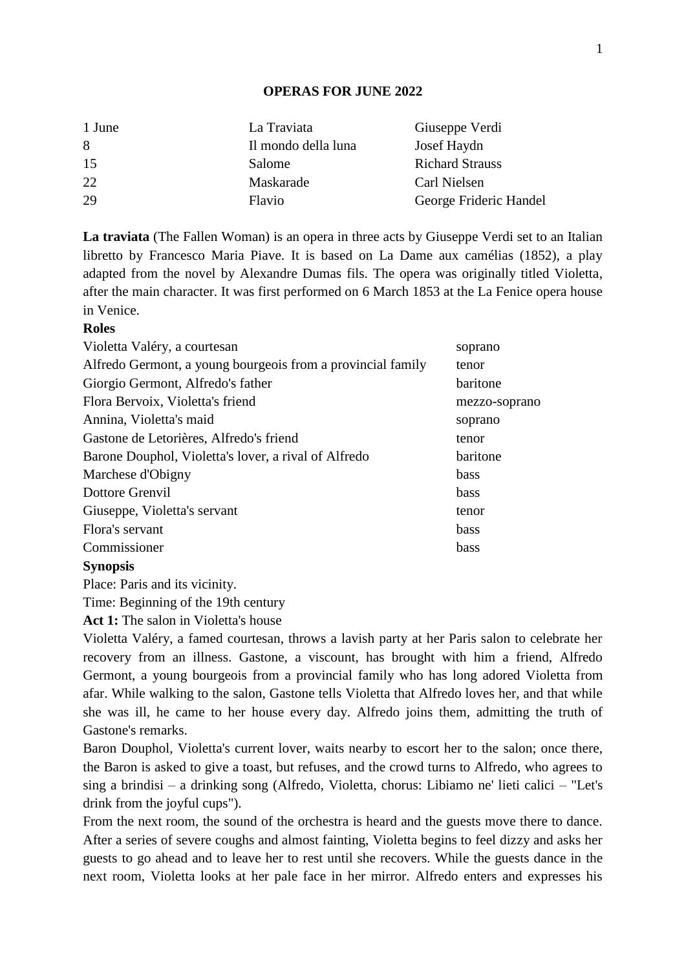## **OPERAS FOR JUNE 2022**

| 1 June | La Traviata         | Giuseppe Verdi         |
|--------|---------------------|------------------------|
| 8      | Il mondo della luna | Josef Haydn            |
| 15     | Salome              | <b>Richard Strauss</b> |
| 22     | Maskarade           | Carl Nielsen           |
| 29     | Flavio              | George Frideric Handel |

**La traviata** (The Fallen Woman) is an opera in three acts by Giuseppe Verdi set to an Italian libretto by Francesco Maria Piave. It is based on La Dame aux camélias (1852), a play adapted from the novel by Alexandre Dumas fils. The opera was originally titled Violetta, after the main character. It was first performed on 6 March 1853 at the La Fenice opera house in Venice.

# **Roles**

| Violetta Valéry, a courtesan                                | soprano       |
|-------------------------------------------------------------|---------------|
| Alfredo Germont, a young bourgeois from a provincial family | tenor         |
| Giorgio Germont, Alfredo's father                           | baritone      |
| Flora Bervoix, Violetta's friend                            | mezzo-soprano |
| Annina, Violetta's maid                                     | soprano       |
| Gastone de Letorières, Alfredo's friend                     | tenor         |
| Barone Douphol, Violetta's lover, a rival of Alfredo        | baritone      |
| Marchese d'Obigny                                           | <b>bass</b>   |
| Dottore Grenvil                                             | <b>bass</b>   |
| Giuseppe, Violetta's servant                                | tenor         |
| Flora's servant                                             | <b>bass</b>   |
| Commissioner                                                | bass          |
| <b>Synopsis</b>                                             |               |

Place: Paris and its vicinity.

Time: Beginning of the 19th century

**Act 1:** The salon in Violetta's house

Violetta Valéry, a famed courtesan, throws a lavish party at her Paris salon to celebrate her recovery from an illness. Gastone, a viscount, has brought with him a friend, Alfredo Germont, a young bourgeois from a provincial family who has long adored Violetta from afar. While walking to the salon, Gastone tells Violetta that Alfredo loves her, and that while she was ill, he came to her house every day. Alfredo joins them, admitting the truth of Gastone's remarks.

Baron Douphol, Violetta's current lover, waits nearby to escort her to the salon; once there, the Baron is asked to give a toast, but refuses, and the crowd turns to Alfredo, who agrees to sing a brindisi – a drinking song (Alfredo, Violetta, chorus: Libiamo ne' lieti calici – "Let's drink from the joyful cups").

From the next room, the sound of the orchestra is heard and the guests move there to dance. After a series of severe coughs and almost fainting, Violetta begins to feel dizzy and asks her guests to go ahead and to leave her to rest until she recovers. While the guests dance in the next room, Violetta looks at her pale face in her mirror. Alfredo enters and expresses his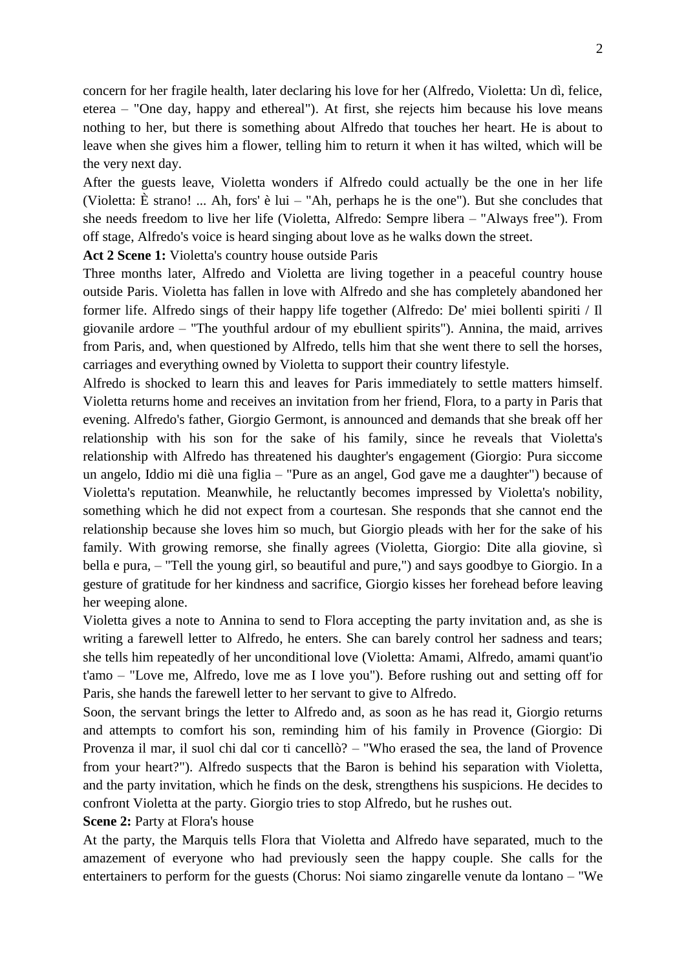concern for her fragile health, later declaring his love for her (Alfredo, Violetta: Un dì, felice, eterea – "One day, happy and ethereal"). At first, she rejects him because his love means nothing to her, but there is something about Alfredo that touches her heart. He is about to leave when she gives him a flower, telling him to return it when it has wilted, which will be the very next day.

After the guests leave, Violetta wonders if Alfredo could actually be the one in her life (Violetta: È strano! ... Ah, fors' è lui – "Ah, perhaps he is the one"). But she concludes that she needs freedom to live her life (Violetta, Alfredo: Sempre libera – "Always free"). From off stage, Alfredo's voice is heard singing about love as he walks down the street.

**Act 2 Scene 1:** Violetta's country house outside Paris

Three months later, Alfredo and Violetta are living together in a peaceful country house outside Paris. Violetta has fallen in love with Alfredo and she has completely abandoned her former life. Alfredo sings of their happy life together (Alfredo: De' miei bollenti spiriti / Il giovanile ardore – "The youthful ardour of my ebullient spirits"). Annina, the maid, arrives from Paris, and, when questioned by Alfredo, tells him that she went there to sell the horses, carriages and everything owned by Violetta to support their country lifestyle.

Alfredo is shocked to learn this and leaves for Paris immediately to settle matters himself. Violetta returns home and receives an invitation from her friend, Flora, to a party in Paris that evening. Alfredo's father, Giorgio Germont, is announced and demands that she break off her relationship with his son for the sake of his family, since he reveals that Violetta's relationship with Alfredo has threatened his daughter's engagement (Giorgio: Pura siccome un angelo, Iddio mi diè una figlia – "Pure as an angel, God gave me a daughter") because of Violetta's reputation. Meanwhile, he reluctantly becomes impressed by Violetta's nobility, something which he did not expect from a courtesan. She responds that she cannot end the relationship because she loves him so much, but Giorgio pleads with her for the sake of his family. With growing remorse, she finally agrees (Violetta, Giorgio: Dite alla giovine, sì bella e pura, – "Tell the young girl, so beautiful and pure,") and says goodbye to Giorgio. In a gesture of gratitude for her kindness and sacrifice, Giorgio kisses her forehead before leaving her weeping alone.

Violetta gives a note to Annina to send to Flora accepting the party invitation and, as she is writing a farewell letter to Alfredo, he enters. She can barely control her sadness and tears; she tells him repeatedly of her unconditional love (Violetta: Amami, Alfredo, amami quant'io t'amo – "Love me, Alfredo, love me as I love you"). Before rushing out and setting off for Paris, she hands the farewell letter to her servant to give to Alfredo.

Soon, the servant brings the letter to Alfredo and, as soon as he has read it, Giorgio returns and attempts to comfort his son, reminding him of his family in Provence (Giorgio: Di Provenza il mar, il suol chi dal cor ti cancellò? – "Who erased the sea, the land of Provence from your heart?"). Alfredo suspects that the Baron is behind his separation with Violetta, and the party invitation, which he finds on the desk, strengthens his suspicions. He decides to confront Violetta at the party. Giorgio tries to stop Alfredo, but he rushes out.

**Scene 2:** Party at Flora's house

At the party, the Marquis tells Flora that Violetta and Alfredo have separated, much to the amazement of everyone who had previously seen the happy couple. She calls for the entertainers to perform for the guests (Chorus: Noi siamo zingarelle venute da lontano – "We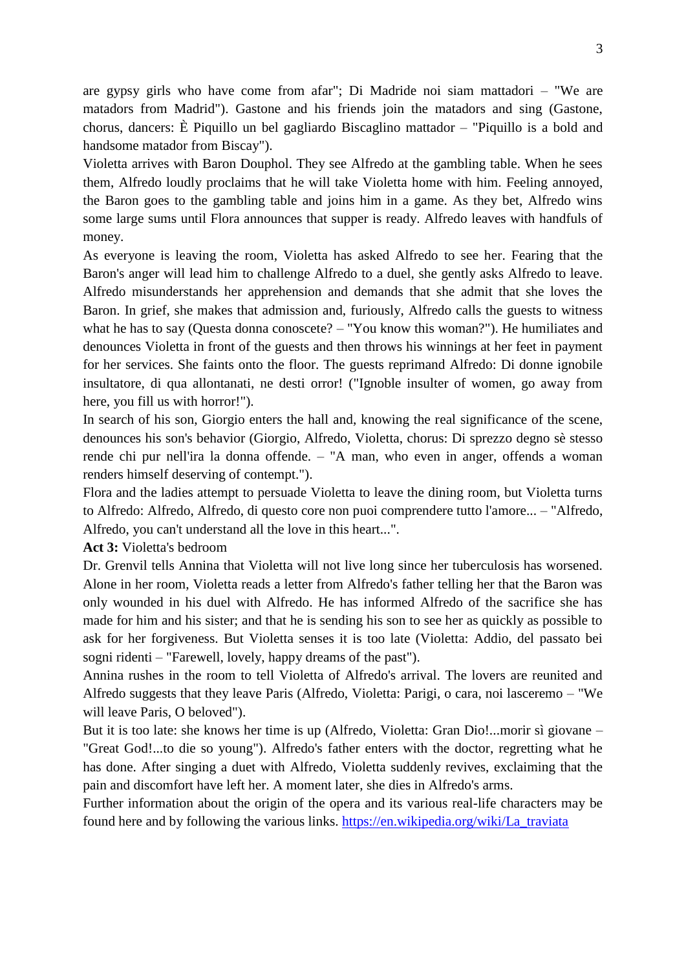are gypsy girls who have come from afar"; Di Madride noi siam mattadori – "We are matadors from Madrid"). Gastone and his friends join the matadors and sing (Gastone, chorus, dancers: È Piquillo un bel gagliardo Biscaglino mattador – "Piquillo is a bold and handsome matador from Biscay").

Violetta arrives with Baron Douphol. They see Alfredo at the gambling table. When he sees them, Alfredo loudly proclaims that he will take Violetta home with him. Feeling annoyed, the Baron goes to the gambling table and joins him in a game. As they bet, Alfredo wins some large sums until Flora announces that supper is ready. Alfredo leaves with handfuls of money.

As everyone is leaving the room, Violetta has asked Alfredo to see her. Fearing that the Baron's anger will lead him to challenge Alfredo to a duel, she gently asks Alfredo to leave. Alfredo misunderstands her apprehension and demands that she admit that she loves the Baron. In grief, she makes that admission and, furiously, Alfredo calls the guests to witness what he has to say (Questa donna conoscete? – "You know this woman?"). He humiliates and denounces Violetta in front of the guests and then throws his winnings at her feet in payment for her services. She faints onto the floor. The guests reprimand Alfredo: Di donne ignobile insultatore, di qua allontanati, ne desti orror! ("Ignoble insulter of women, go away from here, you fill us with horror!").

In search of his son, Giorgio enters the hall and, knowing the real significance of the scene, denounces his son's behavior (Giorgio, Alfredo, Violetta, chorus: Di sprezzo degno sè stesso rende chi pur nell'ira la donna offende. – "A man, who even in anger, offends a woman renders himself deserving of contempt.").

Flora and the ladies attempt to persuade Violetta to leave the dining room, but Violetta turns to Alfredo: Alfredo, Alfredo, di questo core non puoi comprendere tutto l'amore... – "Alfredo, Alfredo, you can't understand all the love in this heart...".

#### **Act 3:** Violetta's bedroom

Dr. Grenvil tells Annina that Violetta will not live long since her tuberculosis has worsened. Alone in her room, Violetta reads a letter from Alfredo's father telling her that the Baron was only wounded in his duel with Alfredo. He has informed Alfredo of the sacrifice she has made for him and his sister; and that he is sending his son to see her as quickly as possible to ask for her forgiveness. But Violetta senses it is too late (Violetta: Addio, del passato bei sogni ridenti – "Farewell, lovely, happy dreams of the past").

Annina rushes in the room to tell Violetta of Alfredo's arrival. The lovers are reunited and Alfredo suggests that they leave Paris (Alfredo, Violetta: Parigi, o cara, noi lasceremo – "We will leave Paris, O beloved").

But it is too late: she knows her time is up (Alfredo, Violetta: Gran Dio!...morir sì giovane – "Great God!...to die so young"). Alfredo's father enters with the doctor, regretting what he has done. After singing a duet with Alfredo, Violetta suddenly revives, exclaiming that the pain and discomfort have left her. A moment later, she dies in Alfredo's arms.

Further information about the origin of the opera and its various real-life characters may be found here and by following the various links. [https://en.wikipedia.org/wiki/La\\_traviata](https://en.wikipedia.org/wiki/La_traviata)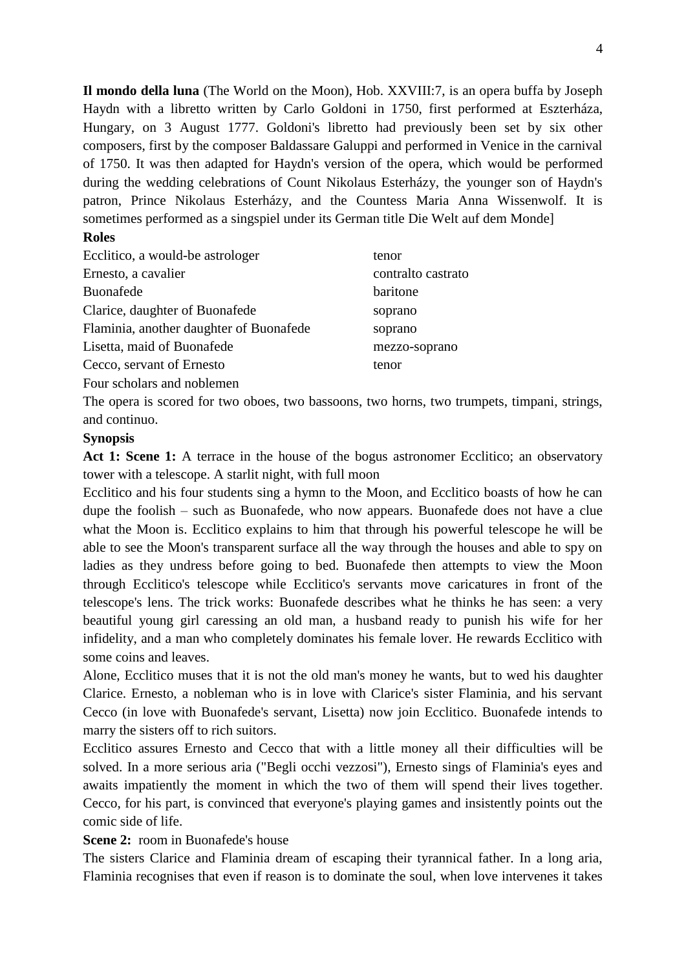**Il mondo della luna** (The World on the Moon), Hob. XXVIII:7, is an opera buffa by Joseph Haydn with a libretto written by Carlo Goldoni in 1750, first performed at Eszterháza, Hungary, on 3 August 1777. Goldoni's libretto had previously been set by six other composers, first by the composer Baldassare Galuppi and performed in Venice in the carnival of 1750. It was then adapted for Haydn's version of the opera, which would be performed during the wedding celebrations of Count Nikolaus Esterházy, the younger son of Haydn's patron, Prince Nikolaus Esterházy, and the Countess Maria Anna Wissenwolf. It is sometimes performed as a singspiel under its German title Die Welt auf dem Monde]

# **Roles**

| Ecclitico, a would-be astrologer        | tenor              |
|-----------------------------------------|--------------------|
| Ernesto, a cavalier                     | contralto castrato |
| <b>Buonafede</b>                        | baritone           |
| Clarice, daughter of Buonafede          | soprano            |
| Flaminia, another daughter of Buonafede | soprano            |
| Lisetta, maid of Buonafede              | mezzo-soprano      |
| Cecco, servant of Ernesto               | tenor              |
| Four scholars and noblemen              |                    |

The opera is scored for two oboes, two bassoons, two horns, two trumpets, timpani, strings, and continuo.

#### **Synopsis**

Act 1: Scene 1: A terrace in the house of the bogus astronomer Ecclitico; an observatory tower with a telescope. A starlit night, with full moon

Ecclitico and his four students sing a hymn to the Moon, and Ecclitico boasts of how he can dupe the foolish – such as Buonafede, who now appears. Buonafede does not have a clue what the Moon is. Ecclitico explains to him that through his powerful telescope he will be able to see the Moon's transparent surface all the way through the houses and able to spy on ladies as they undress before going to bed. Buonafede then attempts to view the Moon through Ecclitico's telescope while Ecclitico's servants move caricatures in front of the telescope's lens. The trick works: Buonafede describes what he thinks he has seen: a very beautiful young girl caressing an old man, a husband ready to punish his wife for her infidelity, and a man who completely dominates his female lover. He rewards Ecclitico with some coins and leaves.

Alone, Ecclitico muses that it is not the old man's money he wants, but to wed his daughter Clarice. Ernesto, a nobleman who is in love with Clarice's sister Flaminia, and his servant Cecco (in love with Buonafede's servant, Lisetta) now join Ecclitico. Buonafede intends to marry the sisters off to rich suitors.

Ecclitico assures Ernesto and Cecco that with a little money all their difficulties will be solved. In a more serious aria ("Begli occhi vezzosi"), Ernesto sings of Flaminia's eyes and awaits impatiently the moment in which the two of them will spend their lives together. Cecco, for his part, is convinced that everyone's playing games and insistently points out the comic side of life.

# **Scene 2:** room in Buonafede's house

The sisters Clarice and Flaminia dream of escaping their tyrannical father. In a long aria, Flaminia recognises that even if reason is to dominate the soul, when love intervenes it takes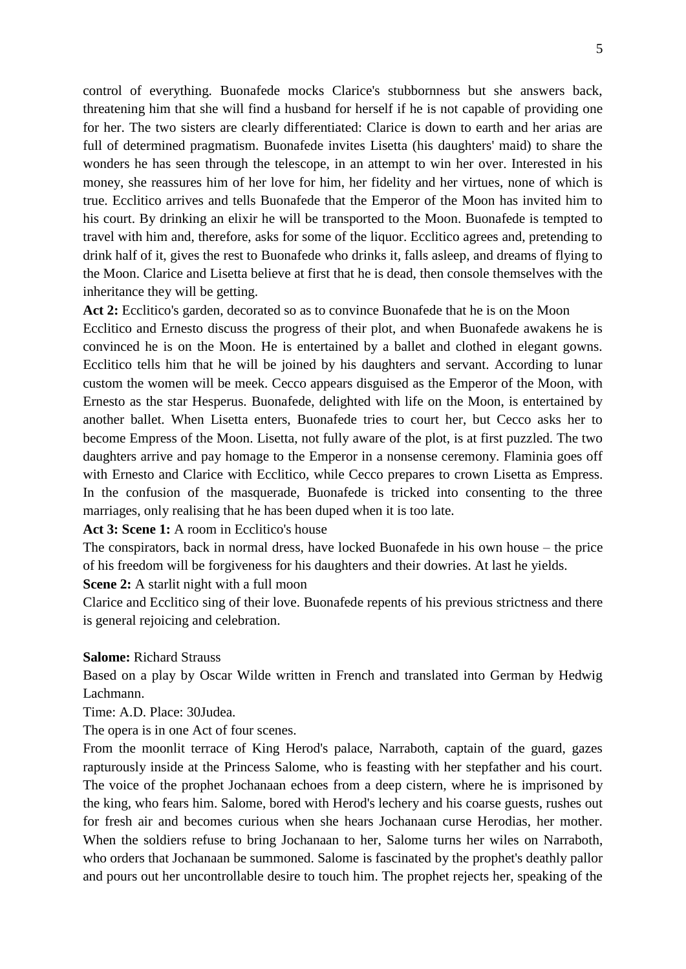control of everything. Buonafede mocks Clarice's stubbornness but she answers back, threatening him that she will find a husband for herself if he is not capable of providing one for her. The two sisters are clearly differentiated: Clarice is down to earth and her arias are full of determined pragmatism. Buonafede invites Lisetta (his daughters' maid) to share the wonders he has seen through the telescope, in an attempt to win her over. Interested in his money, she reassures him of her love for him, her fidelity and her virtues, none of which is true. Ecclitico arrives and tells Buonafede that the Emperor of the Moon has invited him to his court. By drinking an elixir he will be transported to the Moon. Buonafede is tempted to travel with him and, therefore, asks for some of the liquor. Ecclitico agrees and, pretending to drink half of it, gives the rest to Buonafede who drinks it, falls asleep, and dreams of flying to the Moon. Clarice and Lisetta believe at first that he is dead, then console themselves with the inheritance they will be getting.

**Act 2:** Ecclitico's garden, decorated so as to convince Buonafede that he is on the Moon Ecclitico and Ernesto discuss the progress of their plot, and when Buonafede awakens he is convinced he is on the Moon. He is entertained by a ballet and clothed in elegant gowns. Ecclitico tells him that he will be joined by his daughters and servant. According to lunar custom the women will be meek. Cecco appears disguised as the Emperor of the Moon, with Ernesto as the star Hesperus. Buonafede, delighted with life on the Moon, is entertained by another ballet. When Lisetta enters, Buonafede tries to court her, but Cecco asks her to become Empress of the Moon. Lisetta, not fully aware of the plot, is at first puzzled. The two daughters arrive and pay homage to the Emperor in a nonsense ceremony. Flaminia goes off with Ernesto and Clarice with Ecclitico, while Cecco prepares to crown Lisetta as Empress. In the confusion of the masquerade, Buonafede is tricked into consenting to the three marriages, only realising that he has been duped when it is too late.

#### Act 3: Scene 1: A room in Ecclitico's house

The conspirators, back in normal dress, have locked Buonafede in his own house – the price of his freedom will be forgiveness for his daughters and their dowries. At last he yields.

**Scene 2:** A starlit night with a full moon

Clarice and Ecclitico sing of their love. Buonafede repents of his previous strictness and there is general rejoicing and celebration.

#### **Salome:** Richard Strauss

Based on a play by Oscar Wilde written in French and translated into German by Hedwig Lachmann.

Time: A.D. Place: 30Judea.

The opera is in one Act of four scenes.

From the moonlit terrace of King Herod's palace, Narraboth, captain of the guard, gazes rapturously inside at the Princess Salome, who is feasting with her stepfather and his court. The voice of the prophet Jochanaan echoes from a deep cistern, where he is imprisoned by the king, who fears him. Salome, bored with Herod's lechery and his coarse guests, rushes out for fresh air and becomes curious when she hears Jochanaan curse Herodias, her mother. When the soldiers refuse to bring Jochanaan to her, Salome turns her wiles on Narraboth, who orders that Jochanaan be summoned. Salome is fascinated by the prophet's deathly pallor and pours out her uncontrollable desire to touch him. The prophet rejects her, speaking of the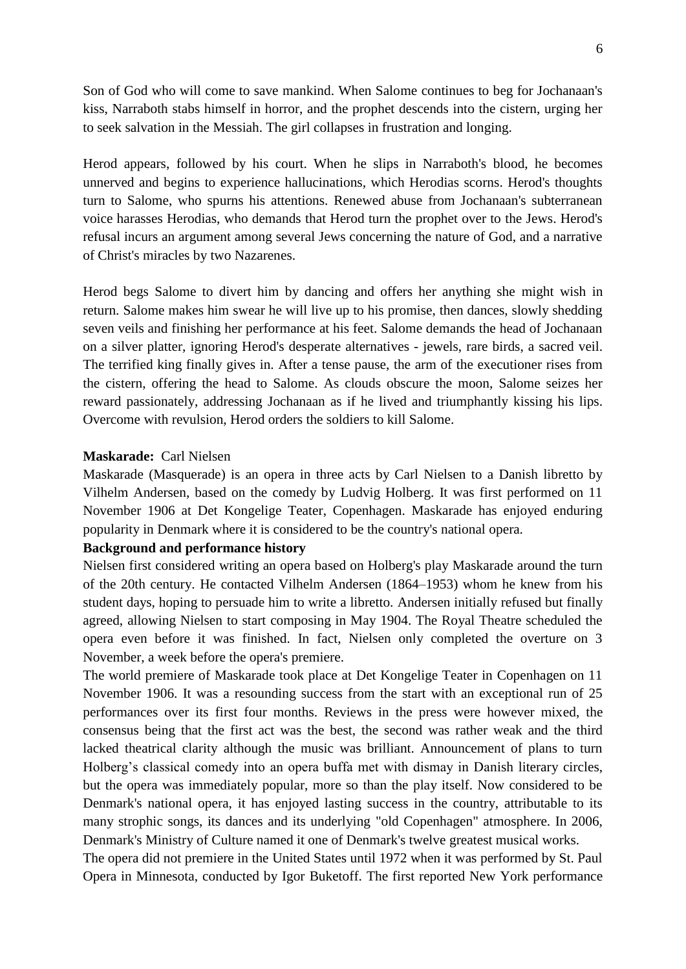Son of God who will come to save mankind. When Salome continues to beg for Jochanaan's kiss, Narraboth stabs himself in horror, and the prophet descends into the cistern, urging her to seek salvation in the Messiah. The girl collapses in frustration and longing.

Herod appears, followed by his court. When he slips in Narraboth's blood, he becomes unnerved and begins to experience hallucinations, which Herodias scorns. Herod's thoughts turn to Salome, who spurns his attentions. Renewed abuse from Jochanaan's subterranean voice harasses Herodias, who demands that Herod turn the prophet over to the Jews. Herod's refusal incurs an argument among several Jews concerning the nature of God, and a narrative of Christ's miracles by two Nazarenes.

Herod begs Salome to divert him by dancing and offers her anything she might wish in return. Salome makes him swear he will live up to his promise, then dances, slowly shedding seven veils and finishing her performance at his feet. Salome demands the head of Jochanaan on a silver platter, ignoring Herod's desperate alternatives - jewels, rare birds, a sacred veil. The terrified king finally gives in. After a tense pause, the arm of the executioner rises from the cistern, offering the head to Salome. As clouds obscure the moon, Salome seizes her reward passionately, addressing Jochanaan as if he lived and triumphantly kissing his lips. Overcome with revulsion, Herod orders the soldiers to kill Salome.

#### **Maskarade:** Carl Nielsen

Maskarade (Masquerade) is an opera in three acts by Carl Nielsen to a Danish libretto by Vilhelm Andersen, based on the comedy by Ludvig Holberg. It was first performed on 11 November 1906 at Det Kongelige Teater, Copenhagen. Maskarade has enjoyed enduring popularity in Denmark where it is considered to be the country's national opera.

## **Background and performance history**

Nielsen first considered writing an opera based on Holberg's play Maskarade around the turn of the 20th century. He contacted Vilhelm Andersen (1864–1953) whom he knew from his student days, hoping to persuade him to write a libretto. Andersen initially refused but finally agreed, allowing Nielsen to start composing in May 1904. The Royal Theatre scheduled the opera even before it was finished. In fact, Nielsen only completed the overture on 3 November, a week before the opera's premiere.

The world premiere of Maskarade took place at Det Kongelige Teater in Copenhagen on 11 November 1906. It was a resounding success from the start with an exceptional run of 25 performances over its first four months. Reviews in the press were however mixed, the consensus being that the first act was the best, the second was rather weak and the third lacked theatrical clarity although the music was brilliant. Announcement of plans to turn Holberg's classical comedy into an opera buffa met with dismay in Danish literary circles, but the opera was immediately popular, more so than the play itself. Now considered to be Denmark's national opera, it has enjoyed lasting success in the country, attributable to its many strophic songs, its dances and its underlying "old Copenhagen" atmosphere. In 2006, Denmark's Ministry of Culture named it one of Denmark's twelve greatest musical works.

The opera did not premiere in the United States until 1972 when it was performed by St. Paul Opera in Minnesota, conducted by Igor Buketoff. The first reported New York performance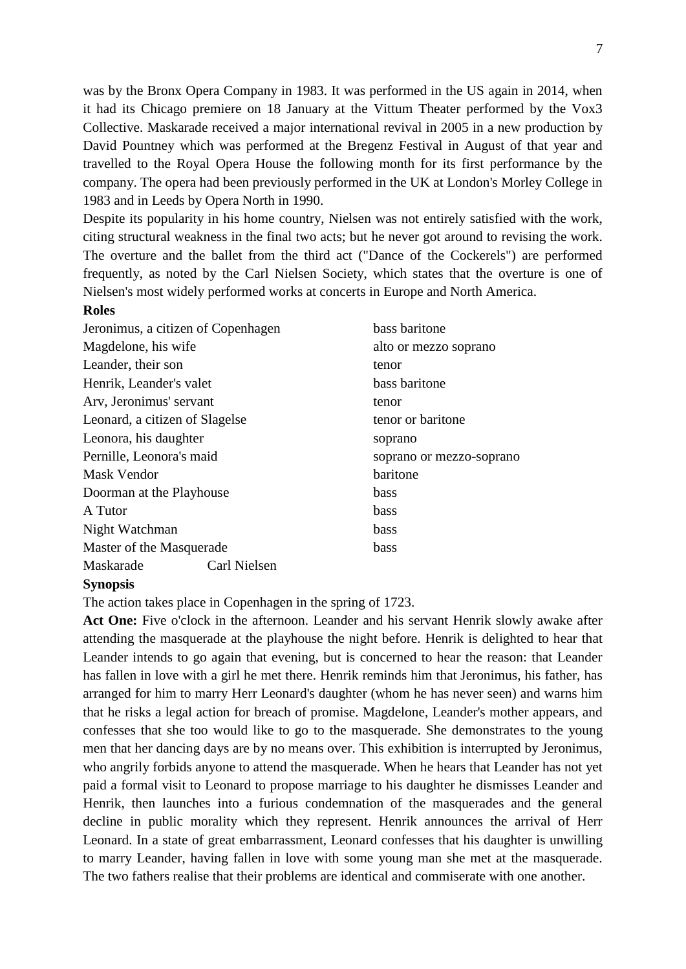was by the Bronx Opera Company in 1983. It was performed in the US again in 2014, when it had its Chicago premiere on 18 January at the Vittum Theater performed by the Vox3 Collective. Maskarade received a major international revival in 2005 in a new production by David Pountney which was performed at the Bregenz Festival in August of that year and travelled to the Royal Opera House the following month for its first performance by the company. The opera had been previously performed in the UK at London's Morley College in 1983 and in Leeds by Opera North in 1990.

Despite its popularity in his home country, Nielsen was not entirely satisfied with the work, citing structural weakness in the final two acts; but he never got around to revising the work. The overture and the ballet from the third act ("Dance of the Cockerels") are performed frequently, as noted by the Carl Nielsen Society, which states that the overture is one of Nielsen's most widely performed works at concerts in Europe and North America.

#### **Roles**

| Jeronimus, a citizen of Copenhagen | bass baritone            |
|------------------------------------|--------------------------|
| Magdelone, his wife                | alto or mezzo soprano    |
| Leander, their son                 | tenor                    |
| Henrik, Leander's valet            | bass baritone            |
| Arv, Jeronimus' servant            | tenor                    |
| Leonard, a citizen of Slagelse     | tenor or baritone        |
| Leonora, his daughter              | soprano                  |
| Pernille, Leonora's maid           | soprano or mezzo-soprano |
| Mask Vendor                        | baritone                 |
| Doorman at the Playhouse           | <b>bass</b>              |
| A Tutor                            | bass                     |
| Night Watchman                     | bass                     |
| Master of the Masquerade           | bass                     |
| Carl Nielsen<br>Maskarade          |                          |

# **Synopsis**

The action takes place in Copenhagen in the spring of 1723.

**Act One:** Five o'clock in the afternoon. Leander and his servant Henrik slowly awake after attending the masquerade at the playhouse the night before. Henrik is delighted to hear that Leander intends to go again that evening, but is concerned to hear the reason: that Leander has fallen in love with a girl he met there. Henrik reminds him that Jeronimus, his father, has arranged for him to marry Herr Leonard's daughter (whom he has never seen) and warns him that he risks a legal action for breach of promise. Magdelone, Leander's mother appears, and confesses that she too would like to go to the masquerade. She demonstrates to the young men that her dancing days are by no means over. This exhibition is interrupted by Jeronimus, who angrily forbids anyone to attend the masquerade. When he hears that Leander has not yet paid a formal visit to Leonard to propose marriage to his daughter he dismisses Leander and Henrik, then launches into a furious condemnation of the masquerades and the general decline in public morality which they represent. Henrik announces the arrival of Herr Leonard. In a state of great embarrassment, Leonard confesses that his daughter is unwilling to marry Leander, having fallen in love with some young man she met at the masquerade. The two fathers realise that their problems are identical and commiserate with one another.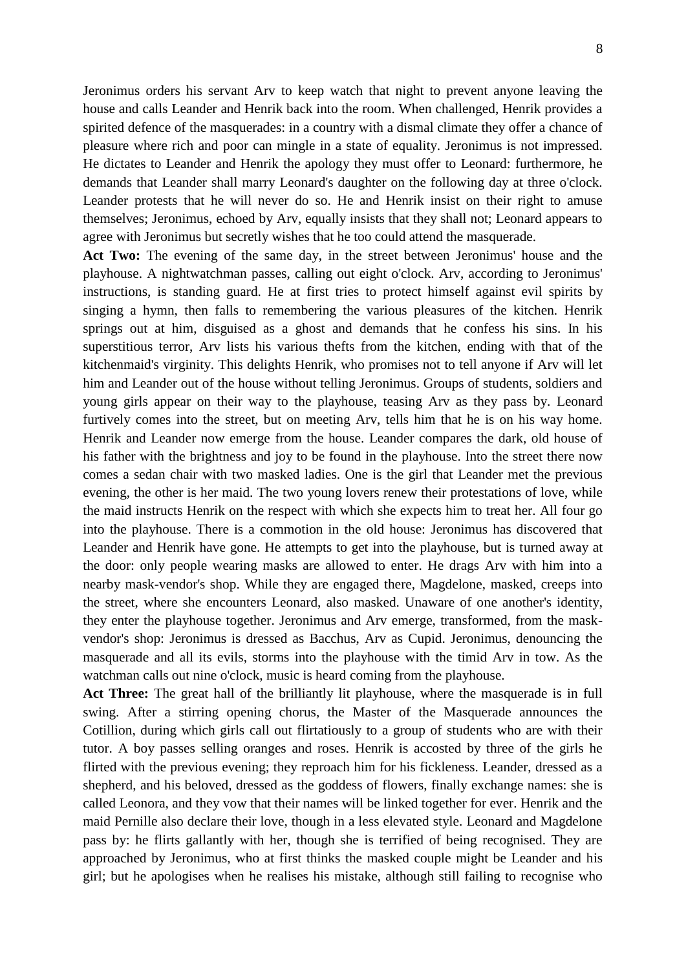Jeronimus orders his servant Arv to keep watch that night to prevent anyone leaving the house and calls Leander and Henrik back into the room. When challenged, Henrik provides a spirited defence of the masquerades: in a country with a dismal climate they offer a chance of pleasure where rich and poor can mingle in a state of equality. Jeronimus is not impressed. He dictates to Leander and Henrik the apology they must offer to Leonard: furthermore, he demands that Leander shall marry Leonard's daughter on the following day at three o'clock. Leander protests that he will never do so. He and Henrik insist on their right to amuse themselves; Jeronimus, echoed by Arv, equally insists that they shall not; Leonard appears to agree with Jeronimus but secretly wishes that he too could attend the masquerade.

**Act Two:** The evening of the same day, in the street between Jeronimus' house and the playhouse. A nightwatchman passes, calling out eight o'clock. Arv, according to Jeronimus' instructions, is standing guard. He at first tries to protect himself against evil spirits by singing a hymn, then falls to remembering the various pleasures of the kitchen. Henrik springs out at him, disguised as a ghost and demands that he confess his sins. In his superstitious terror, Arv lists his various thefts from the kitchen, ending with that of the kitchenmaid's virginity. This delights Henrik, who promises not to tell anyone if Arv will let him and Leander out of the house without telling Jeronimus. Groups of students, soldiers and young girls appear on their way to the playhouse, teasing Arv as they pass by. Leonard furtively comes into the street, but on meeting Arv, tells him that he is on his way home. Henrik and Leander now emerge from the house. Leander compares the dark, old house of his father with the brightness and joy to be found in the playhouse. Into the street there now comes a sedan chair with two masked ladies. One is the girl that Leander met the previous evening, the other is her maid. The two young lovers renew their protestations of love, while the maid instructs Henrik on the respect with which she expects him to treat her. All four go into the playhouse. There is a commotion in the old house: Jeronimus has discovered that Leander and Henrik have gone. He attempts to get into the playhouse, but is turned away at the door: only people wearing masks are allowed to enter. He drags Arv with him into a nearby mask-vendor's shop. While they are engaged there, Magdelone, masked, creeps into the street, where she encounters Leonard, also masked. Unaware of one another's identity, they enter the playhouse together. Jeronimus and Arv emerge, transformed, from the maskvendor's shop: Jeronimus is dressed as Bacchus, Arv as Cupid. Jeronimus, denouncing the masquerade and all its evils, storms into the playhouse with the timid Arv in tow. As the watchman calls out nine o'clock, music is heard coming from the playhouse.

**Act Three:** The great hall of the brilliantly lit playhouse, where the masquerade is in full swing. After a stirring opening chorus, the Master of the Masquerade announces the Cotillion, during which girls call out flirtatiously to a group of students who are with their tutor. A boy passes selling oranges and roses. Henrik is accosted by three of the girls he flirted with the previous evening; they reproach him for his fickleness. Leander, dressed as a shepherd, and his beloved, dressed as the goddess of flowers, finally exchange names: she is called Leonora, and they vow that their names will be linked together for ever. Henrik and the maid Pernille also declare their love, though in a less elevated style. Leonard and Magdelone pass by: he flirts gallantly with her, though she is terrified of being recognised. They are approached by Jeronimus, who at first thinks the masked couple might be Leander and his girl; but he apologises when he realises his mistake, although still failing to recognise who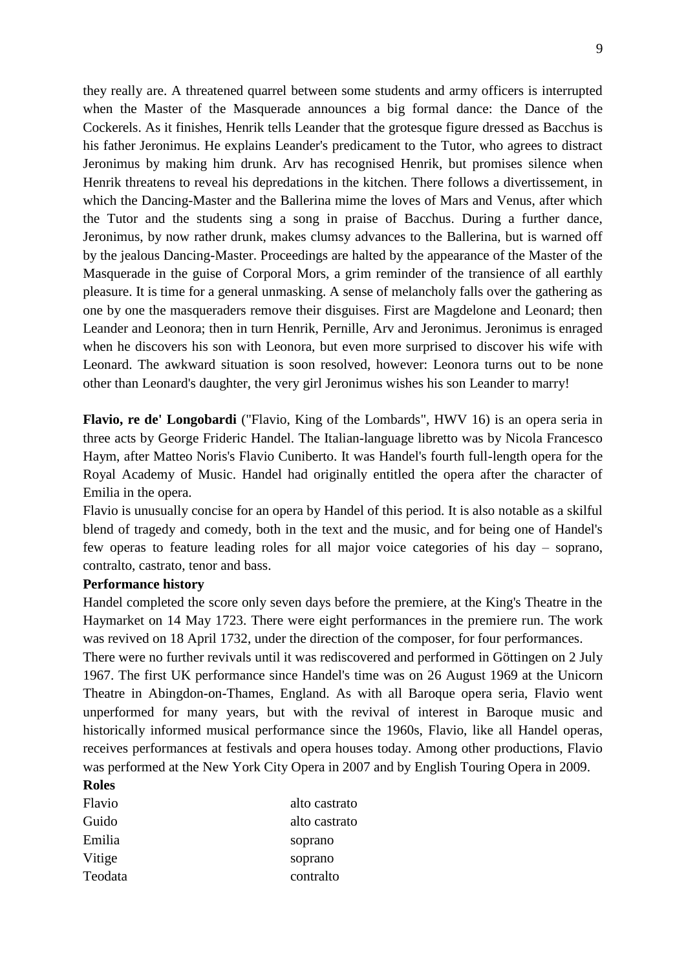they really are. A threatened quarrel between some students and army officers is interrupted when the Master of the Masquerade announces a big formal dance: the Dance of the Cockerels. As it finishes, Henrik tells Leander that the grotesque figure dressed as Bacchus is his father Jeronimus. He explains Leander's predicament to the Tutor, who agrees to distract Jeronimus by making him drunk. Arv has recognised Henrik, but promises silence when Henrik threatens to reveal his depredations in the kitchen. There follows a divertissement, in which the Dancing-Master and the Ballerina mime the loves of Mars and Venus, after which the Tutor and the students sing a song in praise of Bacchus. During a further dance, Jeronimus, by now rather drunk, makes clumsy advances to the Ballerina, but is warned off by the jealous Dancing-Master. Proceedings are halted by the appearance of the Master of the Masquerade in the guise of Corporal Mors, a grim reminder of the transience of all earthly pleasure. It is time for a general unmasking. A sense of melancholy falls over the gathering as one by one the masqueraders remove their disguises. First are Magdelone and Leonard; then Leander and Leonora; then in turn Henrik, Pernille, Arv and Jeronimus. Jeronimus is enraged when he discovers his son with Leonora, but even more surprised to discover his wife with Leonard. The awkward situation is soon resolved, however: Leonora turns out to be none other than Leonard's daughter, the very girl Jeronimus wishes his son Leander to marry!

**Flavio, re de' Longobardi** ("Flavio, King of the Lombards", HWV 16) is an opera seria in three acts by George Frideric Handel. The Italian-language libretto was by Nicola Francesco Haym, after Matteo Noris's Flavio Cuniberto. It was Handel's fourth full-length opera for the Royal Academy of Music. Handel had originally entitled the opera after the character of Emilia in the opera.

Flavio is unusually concise for an opera by Handel of this period. It is also notable as a skilful blend of tragedy and comedy, both in the text and the music, and for being one of Handel's few operas to feature leading roles for all major voice categories of his day – soprano, contralto, castrato, tenor and bass.

#### **Performance history**

Handel completed the score only seven days before the premiere, at the King's Theatre in the Haymarket on 14 May 1723. There were eight performances in the premiere run. The work was revived on 18 April 1732, under the direction of the composer, for four performances.

There were no further revivals until it was rediscovered and performed in Göttingen on 2 July 1967. The first UK performance since Handel's time was on 26 August 1969 at the Unicorn Theatre in Abingdon-on-Thames, England. As with all Baroque opera seria, Flavio went unperformed for many years, but with the revival of interest in Baroque music and historically informed musical performance since the 1960s, Flavio, like all Handel operas, receives performances at festivals and opera houses today. Among other productions, Flavio was performed at the New York City Opera in 2007 and by English Touring Opera in 2009.

# **Roles**

| Flavio  | alto castrato |
|---------|---------------|
| Guido   | alto castrato |
| Emilia  | soprano       |
| Vitige  | soprano       |
| Teodata | contralto     |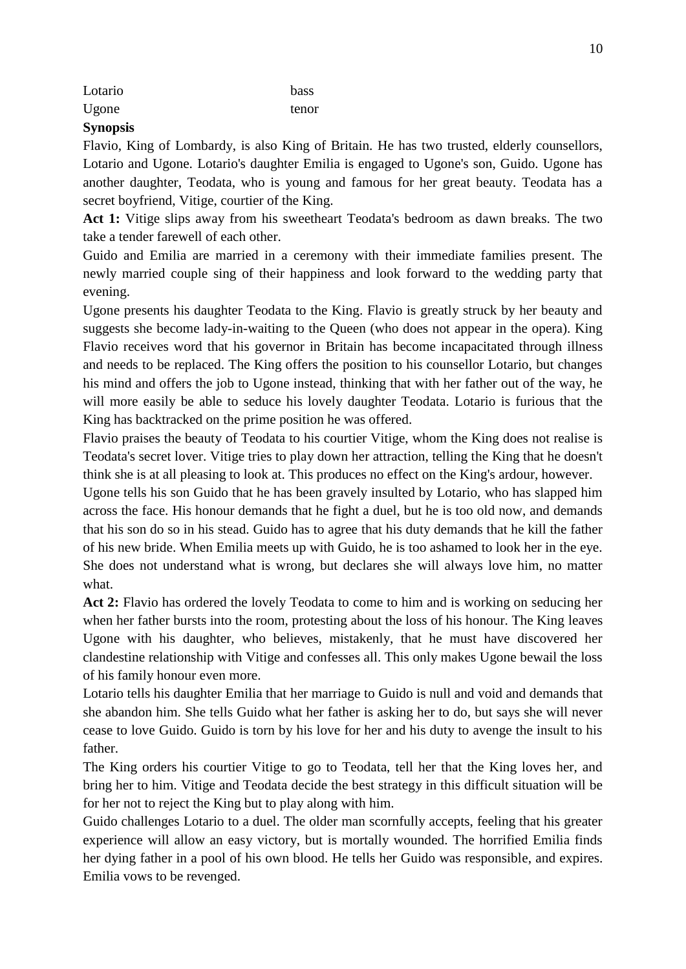| ٠                        |
|--------------------------|
| ۰.<br>۰.<br>×<br>×<br>۰. |

# Lotario bass Ugone tenor

# **Synopsis**

Flavio, King of Lombardy, is also King of Britain. He has two trusted, elderly counsellors, Lotario and Ugone. Lotario's daughter Emilia is engaged to Ugone's son, Guido. Ugone has another daughter, Teodata, who is young and famous for her great beauty. Teodata has a secret boyfriend, Vitige, courtier of the King.

**Act 1:** Vitige slips away from his sweetheart Teodata's bedroom as dawn breaks. The two take a tender farewell of each other.

Guido and Emilia are married in a ceremony with their immediate families present. The newly married couple sing of their happiness and look forward to the wedding party that evening.

Ugone presents his daughter Teodata to the King. Flavio is greatly struck by her beauty and suggests she become lady-in-waiting to the Queen (who does not appear in the opera). King Flavio receives word that his governor in Britain has become incapacitated through illness and needs to be replaced. The King offers the position to his counsellor Lotario, but changes his mind and offers the job to Ugone instead, thinking that with her father out of the way, he will more easily be able to seduce his lovely daughter Teodata. Lotario is furious that the King has backtracked on the prime position he was offered.

Flavio praises the beauty of Teodata to his courtier Vitige, whom the King does not realise is Teodata's secret lover. Vitige tries to play down her attraction, telling the King that he doesn't think she is at all pleasing to look at. This produces no effect on the King's ardour, however.

Ugone tells his son Guido that he has been gravely insulted by Lotario, who has slapped him across the face. His honour demands that he fight a duel, but he is too old now, and demands that his son do so in his stead. Guido has to agree that his duty demands that he kill the father of his new bride. When Emilia meets up with Guido, he is too ashamed to look her in the eye. She does not understand what is wrong, but declares she will always love him, no matter what.

**Act 2:** Flavio has ordered the lovely Teodata to come to him and is working on seducing her when her father bursts into the room, protesting about the loss of his honour. The King leaves Ugone with his daughter, who believes, mistakenly, that he must have discovered her clandestine relationship with Vitige and confesses all. This only makes Ugone bewail the loss of his family honour even more.

Lotario tells his daughter Emilia that her marriage to Guido is null and void and demands that she abandon him. She tells Guido what her father is asking her to do, but says she will never cease to love Guido. Guido is torn by his love for her and his duty to avenge the insult to his father.

The King orders his courtier Vitige to go to Teodata, tell her that the King loves her, and bring her to him. Vitige and Teodata decide the best strategy in this difficult situation will be for her not to reject the King but to play along with him.

Guido challenges Lotario to a duel. The older man scornfully accepts, feeling that his greater experience will allow an easy victory, but is mortally wounded. The horrified Emilia finds her dying father in a pool of his own blood. He tells her Guido was responsible, and expires. Emilia vows to be revenged.